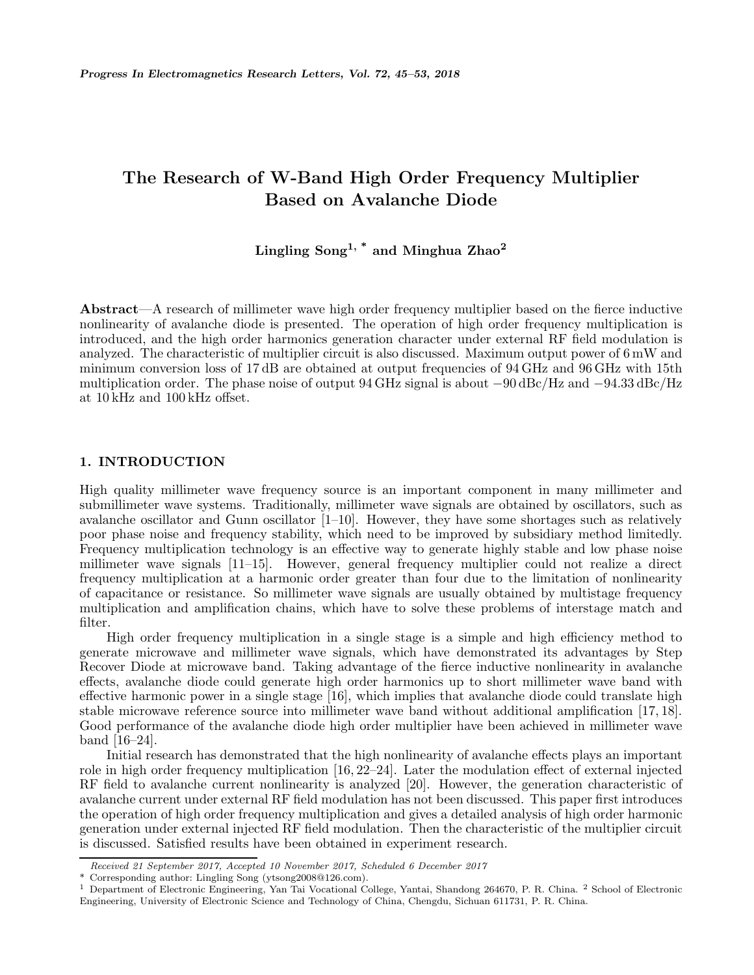## **The Research of W-Band High Order Frequency Multiplier Based on Avalanche Diode**

# **Lingling Song1, \* and Minghua Zhao<sup>2</sup>**

**Abstract**—A research of millimeter wave high order frequency multiplier based on the fierce inductive nonlinearity of avalanche diode is presented. The operation of high order frequency multiplication is introduced, and the high order harmonics generation character under external RF field modulation is analyzed. The characteristic of multiplier circuit is also discussed. Maximum output power of 6 mW and minimum conversion loss of 17 dB are obtained at output frequencies of 94 GHz and 96 GHz with 15th multiplication order. The phase noise of output 94 GHz signal is about *<sup>−</sup>*90 dBc/Hz and *<sup>−</sup>*94.33 dBc/Hz at 10 kHz and 100 kHz offset.

### **1. INTRODUCTION**

High quality millimeter wave frequency source is an important component in many millimeter and submillimeter wave systems. Traditionally, millimeter wave signals are obtained by oscillators, such as avalanche oscillator and Gunn oscillator [1–10]. However, they have some shortages such as relatively poor phase noise and frequency stability, which need to be improved by subsidiary method limitedly. Frequency multiplication technology is an effective way to generate highly stable and low phase noise millimeter wave signals [11–15]. However, general frequency multiplier could not realize a direct frequency multiplication at a harmonic order greater than four due to the limitation of nonlinearity of capacitance or resistance. So millimeter wave signals are usually obtained by multistage frequency multiplication and amplification chains, which have to solve these problems of interstage match and filter.

High order frequency multiplication in a single stage is a simple and high efficiency method to generate microwave and millimeter wave signals, which have demonstrated its advantages by Step Recover Diode at microwave band. Taking advantage of the fierce inductive nonlinearity in avalanche effects, avalanche diode could generate high order harmonics up to short millimeter wave band with effective harmonic power in a single stage [16], which implies that avalanche diode could translate high stable microwave reference source into millimeter wave band without additional amplification [17, 18]. Good performance of the avalanche diode high order multiplier have been achieved in millimeter wave band [16–24].

Initial research has demonstrated that the high nonlinearity of avalanche effects plays an important role in high order frequency multiplication [16, 22–24]. Later the modulation effect of external injected RF field to avalanche current nonlinearity is analyzed [20]. However, the generation characteristic of avalanche current under external RF field modulation has not been discussed. This paper first introduces the operation of high order frequency multiplication and gives a detailed analysis of high order harmonic generation under external injected RF field modulation. Then the characteristic of the multiplier circuit is discussed. Satisfied results have been obtained in experiment research.

*Received 21 September 2017, Accepted 10 November 2017, Scheduled 6 December 2017*

Corresponding author: Lingling Song (ytsong2008@126.com).

<sup>1</sup> Department of Electronic Engineering, Yan Tai Vocational College, Yantai, Shandong 264670, P. R. China. <sup>2</sup> School of Electronic Engineering, University of Electronic Science and Technology of China, Chengdu, Sichuan 611731, P. R. China.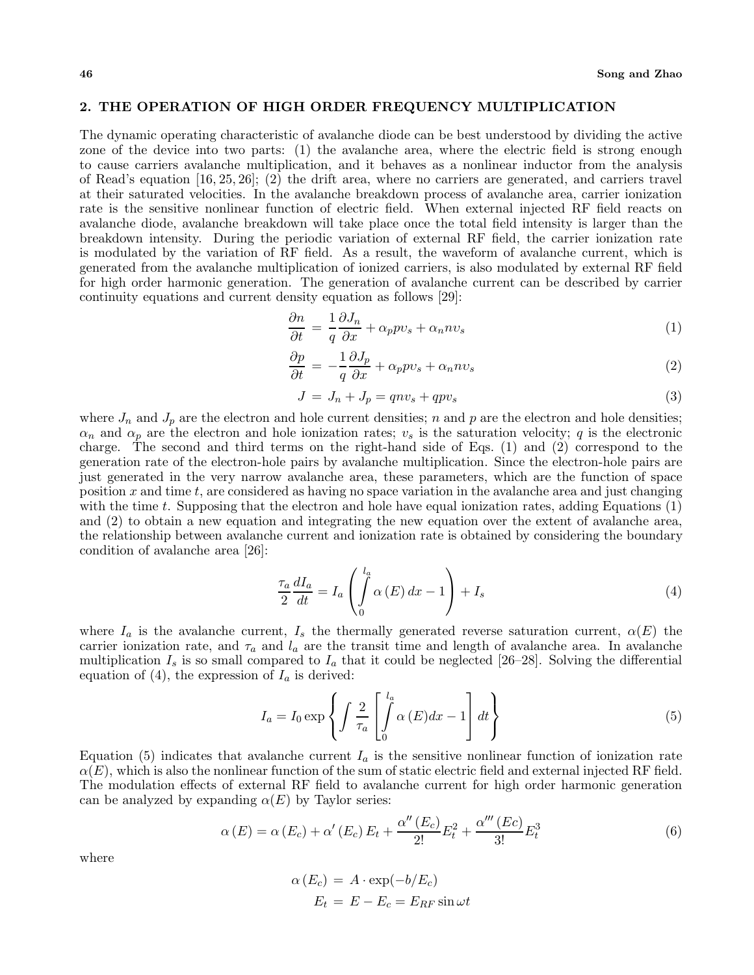#### **2. THE OPERATION OF HIGH ORDER FREQUENCY MULTIPLICATION**

The dynamic operating characteristic of avalanche diode can be best understood by dividing the active zone of the device into two parts: (1) the avalanche area, where the electric field is strong enough to cause carriers avalanche multiplication, and it behaves as a nonlinear inductor from the analysis of Read's equation [16, 25, 26]; (2) the drift area, where no carriers are generated, and carriers travel at their saturated velocities. In the avalanche breakdown process of avalanche area, carrier ionization rate is the sensitive nonlinear function of electric field. When external injected RF field reacts on avalanche diode, avalanche breakdown will take place once the total field intensity is larger than the breakdown intensity. During the periodic variation of external RF field, the carrier ionization rate is modulated by the variation of RF field. As a result, the waveform of avalanche current, which is generated from the avalanche multiplication of ionized carriers, is also modulated by external RF field for high order harmonic generation. The generation of avalanche current can be described by carrier continuity equations and current density equation as follows [29]:

$$
\frac{\partial n}{\partial t} = \frac{1}{q} \frac{\partial J_n}{\partial x} + \alpha_p p v_s + \alpha_n n v_s \tag{1}
$$

$$
\frac{\partial p}{\partial t} = -\frac{1}{q} \frac{\partial J_p}{\partial x} + \alpha_p p v_s + \alpha_n n v_s \tag{2}
$$

$$
J = J_n + J_p = qnv_s + qpv_s \tag{3}
$$

where  $J_n$  and  $J_p$  are the electron and hole current densities; n and p are the electron and hole densities;  $\alpha_n$  and  $\alpha_p$  are the electron and hole ionization rates;  $v_s$  is the saturation velocity; q is the electronic charge. The second and third terms on the right-hand side of Eqs. (1) and (2) correspond to the generation rate of the electron-hole pairs by avalanche multiplication. Since the electron-hole pairs are just generated in the very narrow avalanche area, these parameters, which are the function of space position x and time t, are considered as having no space variation in the avalanche area and just changing with the time t. Supposing that the electron and hole have equal ionization rates, adding Equations  $(1)$ and (2) to obtain a new equation and integrating the new equation over the extent of avalanche area, the relationship between avalanche current and ionization rate is obtained by considering the boundary condition of avalanche area [26]:

$$
\frac{\tau_a}{2}\frac{dI_a}{dt} = I_a \left( \int\limits_0^{l_a} \alpha(E) dx - 1 \right) + I_s \tag{4}
$$

where  $I_a$  is the avalanche current,  $I_s$  the thermally generated reverse saturation current,  $\alpha(E)$  the carrier ionization rate, and  $\tau_a$  and  $l_a$  are the transit time and length of avalanche area. In avalanche multiplication  $I_s$  is so small compared to  $I_a$  that it could be neglected [26–28]. Solving the differential equation of (4), the expression of  $I_a$  is derived:

$$
I_a = I_0 \exp\left\{ \int \frac{2}{\tau_a} \left[ \int_0^{l_a} \alpha(E) dx - 1 \right] dt \right\}
$$
 (5)

Equation (5) indicates that avalanche current  $I_a$  is the sensitive nonlinear function of ionization rate  $\alpha(E)$ , which is also the nonlinear function of the sum of static electric field and external injected RF field. The modulation effects of external RF field to avalanche current for high order harmonic generation can be analyzed by expanding  $\alpha(E)$  by Taylor series:

$$
\alpha(E) = \alpha(E_c) + \alpha'(E_c) E_t + \frac{\alpha''(E_c)}{2!} E_t^2 + \frac{\alpha'''(Ec)}{3!} E_t^3
$$
\n
$$
(6)
$$

where

$$
\alpha(E_c) = A \cdot \exp(-b/E_c)
$$
  

$$
E_t = E - E_c = E_{RF} \sin \omega t
$$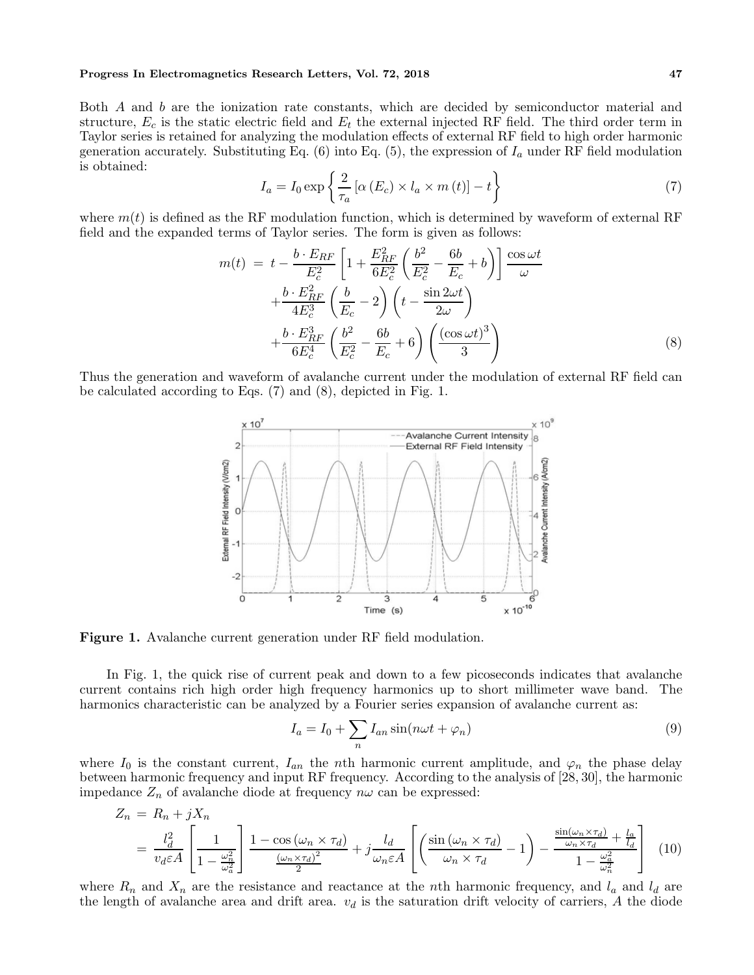#### **Progress In Electromagnetics Research Letters, Vol. 72, 2018 47**

Both A and b are the ionization rate constants, which are decided by semiconductor material and structure,  $E_c$  is the static electric field and  $E_t$  the external injected RF field. The third order term in Taylor series is retained for analyzing the modulation effects of external RF field to high order harmonic generation accurately. Substituting Eq. (6) into Eq. (5), the expression of  $I_a$  under RF field modulation is obtained:

$$
I_a = I_0 \exp\left\{\frac{2}{\tau_a} \left[ \alpha \left( E_c \right) \times l_a \times m \left( t \right) \right] - t \right\} \tag{7}
$$

where  $m(t)$  is defined as the RF modulation function, which is determined by waveform of external RF field and the expanded terms of Taylor series. The form is given as follows:

$$
m(t) = t - \frac{b \cdot E_{RF}}{E_c^2} \left[ 1 + \frac{E_{RF}^2}{6E_c^2} \left( \frac{b^2}{E_c^2} - \frac{6b}{E_c} + b \right) \right] \frac{\cos \omega t}{\omega}
$$

$$
+ \frac{b \cdot E_{RF}^2}{4E_c^3} \left( \frac{b}{E_c} - 2 \right) \left( t - \frac{\sin 2\omega t}{2\omega} \right)
$$

$$
+ \frac{b \cdot E_{RF}^3}{6E_c^4} \left( \frac{b^2}{E_c^2} - \frac{6b}{E_c} + 6 \right) \left( \frac{(\cos \omega t)^3}{3} \right)
$$
(8)

Thus the generation and waveform of avalanche current under the modulation of external RF field can be calculated according to Eqs. (7) and (8), depicted in Fig. 1.



**Figure 1.** Avalanche current generation under RF field modulation.

In Fig. 1, the quick rise of current peak and down to a few picoseconds indicates that avalanche current contains rich high order high frequency harmonics up to short millimeter wave band. The harmonics characteristic can be analyzed by a Fourier series expansion of avalanche current as:

$$
I_a = I_0 + \sum_n I_{an} \sin(n\omega t + \varphi_n)
$$
\n(9)

where  $I_0$  is the constant current,  $I_{an}$  the nth harmonic current amplitude, and  $\varphi_n$  the phase delay between harmonic frequency and input RF frequency. According to the analysis of [28, 30], the harmonic impedance  $Z_n$  of avalanche diode at frequency  $n\omega$  can be expressed:

$$
Z_n = R_n + jX_n
$$
  
=  $\frac{l_d^2}{v_d \varepsilon A} \left[ \frac{1}{1 - \frac{\omega_n^2}{\omega_a^2}} \right] \frac{1 - \cos(\omega_n \times \tau_d)}{\frac{(\omega_n \times \tau_d)^2}{2}} + j \frac{l_d}{\omega_n \varepsilon A} \left[ \left( \frac{\sin(\omega_n \times \tau_d)}{\omega_n \times \tau_d} - 1 \right) - \frac{\frac{\sin(\omega_n \times \tau_d)}{\omega_n \times \tau_d} + \frac{l_a}{l_d}}{1 - \frac{\omega_a^2}{\omega_n^2}} \right] (10)$ 

where  $R_n$  and  $X_n$  are the resistance and reactance at the nth harmonic frequency, and  $l_a$  and  $l_d$  are the length of avalanche area and drift area.  $v_d$  is the saturation drift velocity of carriers, A the diode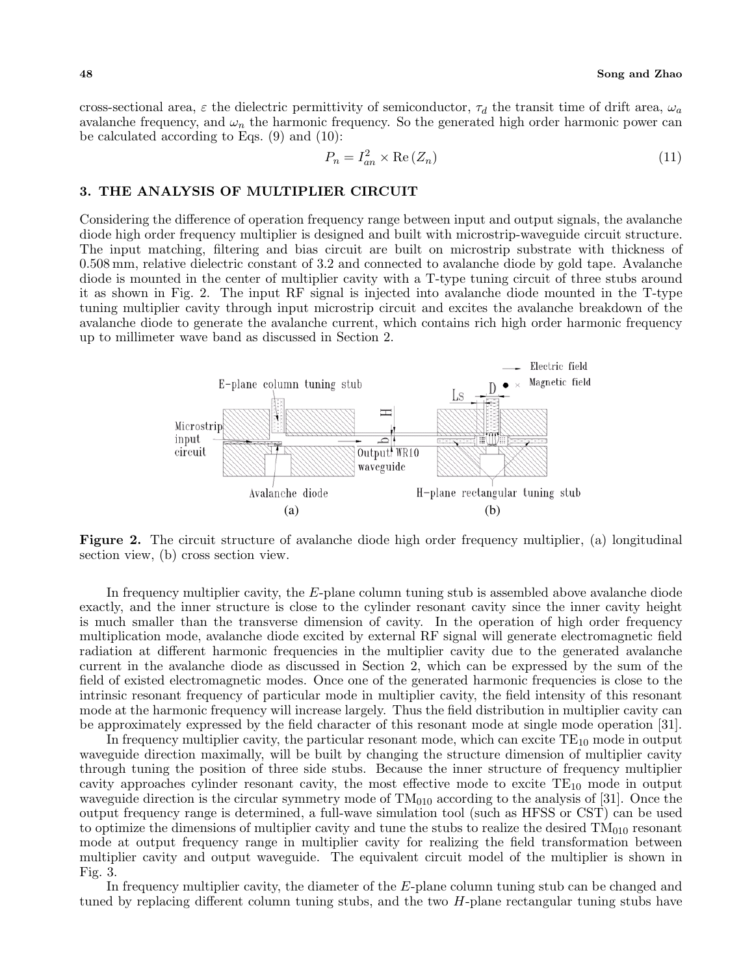cross-sectional area,  $\varepsilon$  the dielectric permittivity of semiconductor,  $\tau_d$  the transit time of drift area,  $\omega_a$ avalanche frequency, and  $\omega_n$  the harmonic frequency. So the generated high order harmonic power can be calculated according to Eqs. (9) and (10):

$$
P_n = I_{an}^2 \times \text{Re}(Z_n) \tag{11}
$$

#### **3. THE ANALYSIS OF MULTIPLIER CIRCUIT**

Considering the difference of operation frequency range between input and output signals, the avalanche diode high order frequency multiplier is designed and built with microstrip-waveguide circuit structure. The input matching, filtering and bias circuit are built on microstrip substrate with thickness of 0.508 mm, relative dielectric constant of 3.2 and connected to avalanche diode by gold tape. Avalanche diode is mounted in the center of multiplier cavity with a T-type tuning circuit of three stubs around it as shown in Fig. 2. The input RF signal is injected into avalanche diode mounted in the T-type tuning multiplier cavity through input microstrip circuit and excites the avalanche breakdown of the avalanche diode to generate the avalanche current, which contains rich high order harmonic frequency up to millimeter wave band as discussed in Section 2.



**Figure 2.** The circuit structure of avalanche diode high order frequency multiplier, (a) longitudinal section view, (b) cross section view.

In frequency multiplier cavity, the E-plane column tuning stub is assembled above avalanche diode exactly, and the inner structure is close to the cylinder resonant cavity since the inner cavity height is much smaller than the transverse dimension of cavity. In the operation of high order frequency multiplication mode, avalanche diode excited by external RF signal will generate electromagnetic field radiation at different harmonic frequencies in the multiplier cavity due to the generated avalanche current in the avalanche diode as discussed in Section 2, which can be expressed by the sum of the field of existed electromagnetic modes. Once one of the generated harmonic frequencies is close to the intrinsic resonant frequency of particular mode in multiplier cavity, the field intensity of this resonant mode at the harmonic frequency will increase largely. Thus the field distribution in multiplier cavity can be approximately expressed by the field character of this resonant mode at single mode operation [31].

In frequency multiplier cavity, the particular resonant mode, which can excite  $TE_{10}$  mode in output waveguide direction maximally, will be built by changing the structure dimension of multiplier cavity through tuning the position of three side stubs. Because the inner structure of frequency multiplier cavity approaches cylinder resonant cavity, the most effective mode to excite  $TE_{10}$  mode in output waveguide direction is the circular symmetry mode of  $TM<sub>010</sub>$  according to the analysis of [31]. Once the output frequency range is determined, a full-wave simulation tool (such as HFSS or CST) can be used to optimize the dimensions of multiplier cavity and tune the stubs to realize the desired  $TM<sub>010</sub>$  resonant mode at output frequency range in multiplier cavity for realizing the field transformation between multiplier cavity and output waveguide. The equivalent circuit model of the multiplier is shown in Fig. 3.

In frequency multiplier cavity, the diameter of the E-plane column tuning stub can be changed and tuned by replacing different column tuning stubs, and the two  $H$ -plane rectangular tuning stubs have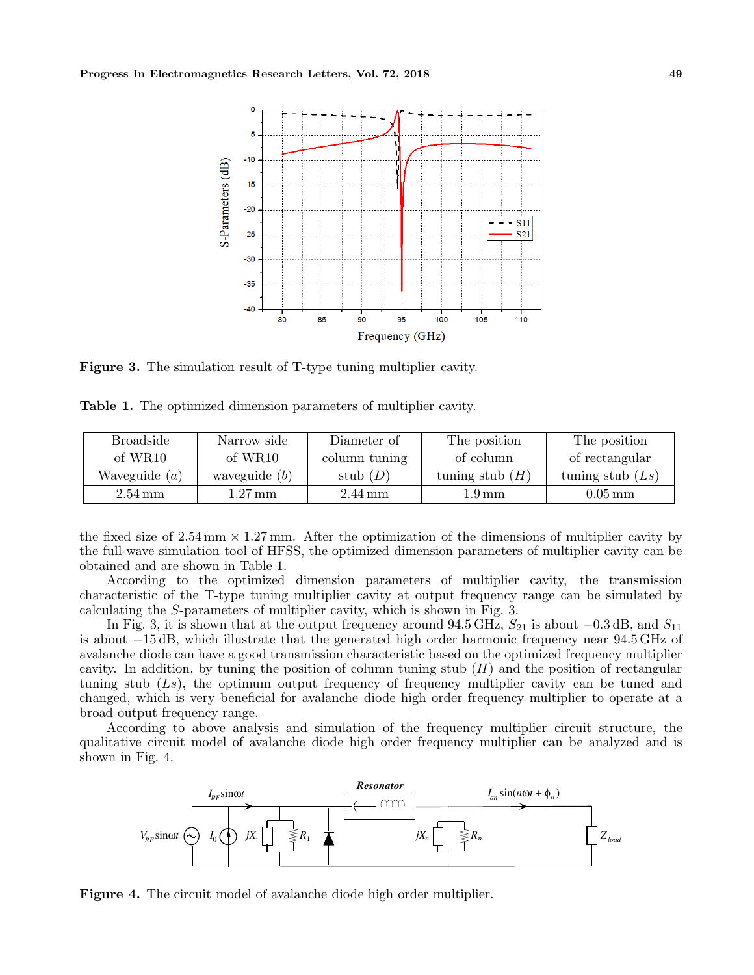

**Figure 3.** The simulation result of T-type tuning multiplier cavity.

**Table 1.** The optimized dimension parameters of multiplier cavity.

| <b>Broadside</b>     | Narrow side         | Diameter of          | The position      | The position         |
|----------------------|---------------------|----------------------|-------------------|----------------------|
| of $WR10$            | of WR <sub>10</sub> | column tuning        | of column         | of rectangular       |
| Waveguide $(a)$      | waveguide $(b)$     | stub $(D)$           | tuning stub $(H)$ | tuning stub $(Ls)$   |
| $2.54 \,\mathrm{mm}$ | $1.27 \,\rm{mm}$    | $2.44 \,\mathrm{mm}$ | 1.9 mm            | $0.05 \,\mathrm{mm}$ |

the fixed size of 2.54 mm *<sup>×</sup>* <sup>1</sup>.27 mm. After the optimization of the dimensions of multiplier cavity by the full-wave simulation tool of HFSS, the optimized dimension parameters of multiplier cavity can be obtained and are shown in Table 1.

According to the optimized dimension parameters of multiplier cavity, the transmission characteristic of the T-type tuning multiplier cavity at output frequency range can be simulated by calculating the S-parameters of multiplier cavity, which is shown in Fig. 3.

In Fig. 3, it is shown that at the output frequency around  $94.5 \text{ GHz}$ ,  $S_{21}$  is about  $-0.3 \text{ dB}$ , and  $S_{11}$ is about *−*15 dB, which illustrate that the generated high order harmonic frequency near 94.5 GHz of avalanche diode can have a good transmission characteristic based on the optimized frequency multiplier cavity. In addition, by tuning the position of column tuning stub  $(H)$  and the position of rectangular tuning stub  $(Ls)$ , the optimum output frequency of frequency multiplier cavity can be tuned and changed, which is very beneficial for avalanche diode high order frequency multiplier to operate at a broad output frequency range.

According to above analysis and simulation of the frequency multiplier circuit structure, the qualitative circuit model of avalanche diode high order frequency multiplier can be analyzed and is shown in Fig. 4.



**Figure 4.** The circuit model of avalanche diode high order multiplier.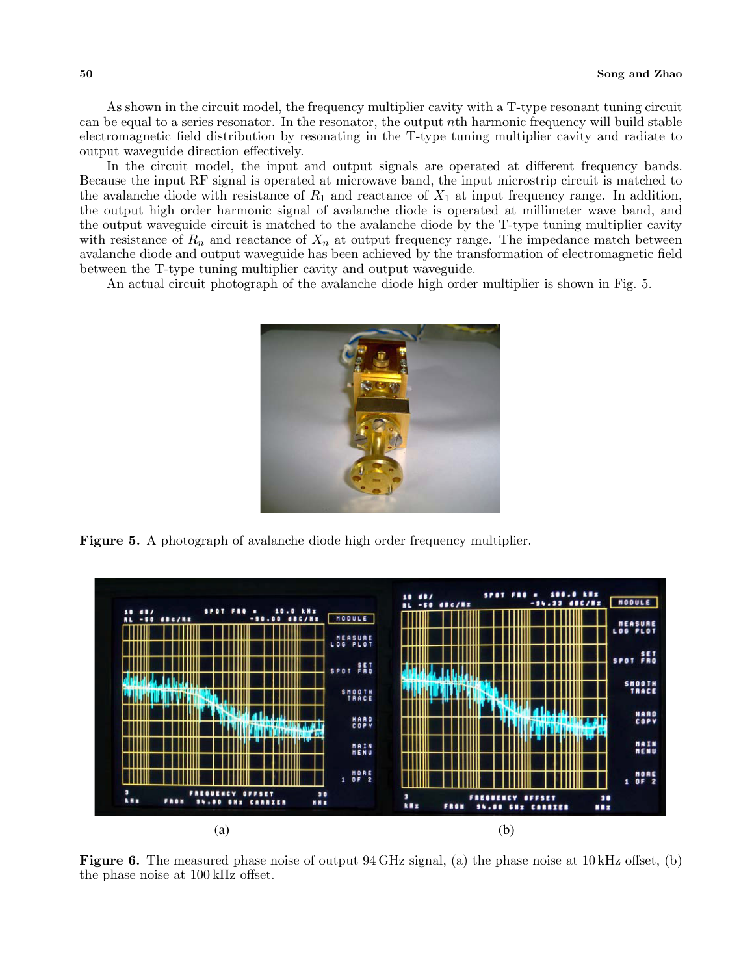As shown in the circuit model, the frequency multiplier cavity with a T-type resonant tuning circuit can be equal to a series resonator. In the resonator, the output nth harmonic frequency will build stable electromagnetic field distribution by resonating in the T-type tuning multiplier cavity and radiate to output waveguide direction effectively.

In the circuit model, the input and output signals are operated at different frequency bands. Because the input RF signal is operated at microwave band, the input microstrip circuit is matched to the avalanche diode with resistance of  $R_1$  and reactance of  $X_1$  at input frequency range. In addition, the output high order harmonic signal of avalanche diode is operated at millimeter wave band, and the output waveguide circuit is matched to the avalanche diode by the T-type tuning multiplier cavity with resistance of  $R_n$  and reactance of  $X_n$  at output frequency range. The impedance match between avalanche diode and output waveguide has been achieved by the transformation of electromagnetic field between the T-type tuning multiplier cavity and output waveguide.

An actual circuit photograph of the avalanche diode high order multiplier is shown in Fig. 5.



**Figure 5.** A photograph of avalanche diode high order frequency multiplier.



**Figure 6.** The measured phase noise of output 94 GHz signal, (a) the phase noise at 10 kHz offset, (b) the phase noise at 100 kHz offset.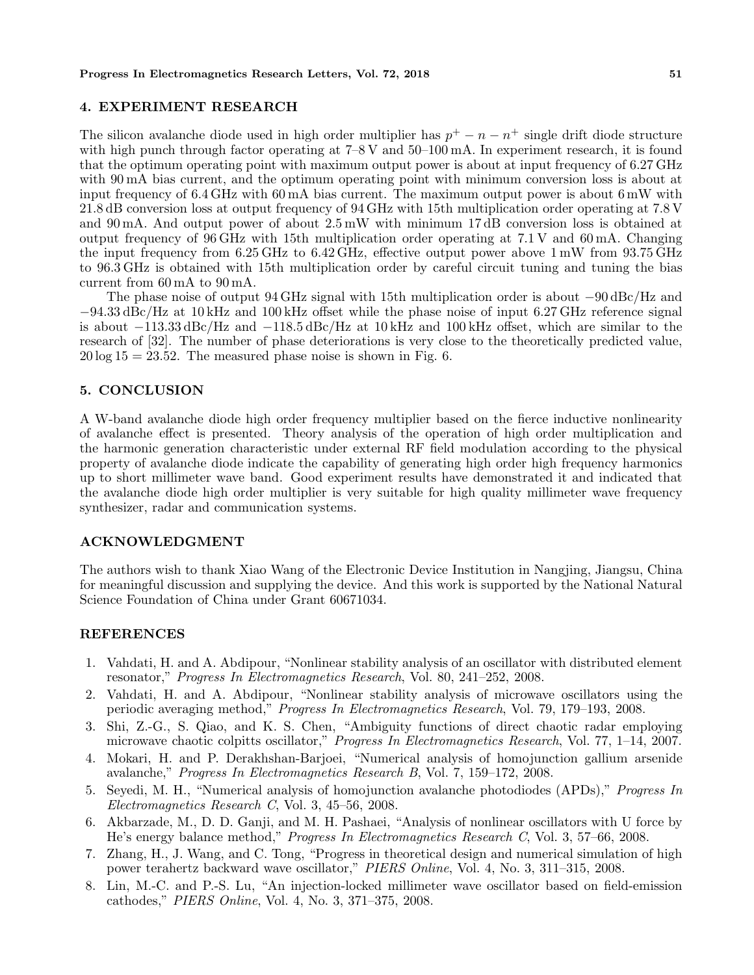#### **4. EXPERIMENT RESEARCH**

The silicon avalanche diode used in high order multiplier has  $p^+ - n - n^+$  single drift diode structure with high punch through factor operating at  $7-8$  V and  $50-100$  mA. In experiment research, it is found that the optimum operating point with maximum output power is about at input frequency of 6.27 GHz with 90 mA bias current, and the optimum operating point with minimum conversion loss is about at input frequency of 6.4 GHz with 60 mA bias current. The maximum output power is about 6 mW with 21.8 dB conversion loss at output frequency of 94 GHz with 15th multiplication order operating at 7.8 V and 90 mA. And output power of about  $2.5 \text{ mW}$  with minimum 17 dB conversion loss is obtained at output frequency of 96 GHz with 15th multiplication order operating at 7.1 V and 60 mA. Changing the input frequency from 6.25 GHz to 6.42 GHz, effective output power above 1 mW from 93.75 GHz to 96.3 GHz is obtained with 15th multiplication order by careful circuit tuning and tuning the bias current from 60 mA to 90 mA.

The phase noise of output 94 GHz signal with 15th multiplication order is about *−*90 dBc/Hz and *<sup>−</sup>*94.33 dBc/Hz at 10 kHz and 100 kHz offset while the phase noise of input 6.27 GHz reference signal is about *<sup>−</sup>*113.33 dBc/Hz and *<sup>−</sup>*118.5 dBc/Hz at 10 kHz and 100 kHz offset, which are similar to the research of [32]. The number of phase deteriorations is very close to the theoretically predicted value,  $20 \log 15 = 23.52$ . The measured phase noise is shown in Fig. 6.

#### **5. CONCLUSION**

A W-band avalanche diode high order frequency multiplier based on the fierce inductive nonlinearity of avalanche effect is presented. Theory analysis of the operation of high order multiplication and the harmonic generation characteristic under external RF field modulation according to the physical property of avalanche diode indicate the capability of generating high order high frequency harmonics up to short millimeter wave band. Good experiment results have demonstrated it and indicated that the avalanche diode high order multiplier is very suitable for high quality millimeter wave frequency synthesizer, radar and communication systems.

#### **ACKNOWLEDGMENT**

The authors wish to thank Xiao Wang of the Electronic Device Institution in Nangjing, Jiangsu, China for meaningful discussion and supplying the device. And this work is supported by the National Natural Science Foundation of China under Grant 60671034.

#### **REFERENCES**

- 1. Vahdati, H. and A. Abdipour, "Nonlinear stability analysis of an oscillator with distributed element resonator," *Progress In Electromagnetics Research*, Vol. 80, 241–252, 2008.
- 2. Vahdati, H. and A. Abdipour, "Nonlinear stability analysis of microwave oscillators using the periodic averaging method," *Progress In Electromagnetics Research*, Vol. 79, 179–193, 2008.
- 3. Shi, Z.-G., S. Qiao, and K. S. Chen, "Ambiguity functions of direct chaotic radar employing microwave chaotic colpitts oscillator," *Progress In Electromagnetics Research*, Vol. 77, 1–14, 2007.
- 4. Mokari, H. and P. Derakhshan-Barjoei, "Numerical analysis of homojunction gallium arsenide avalanche," *Progress In Electromagnetics Research B*, Vol. 7, 159–172, 2008.
- 5. Seyedi, M. H., "Numerical analysis of homojunction avalanche photodiodes (APDs)," *Progress In Electromagnetics Research C*, Vol. 3, 45–56, 2008.
- 6. Akbarzade, M., D. D. Ganji, and M. H. Pashaei, "Analysis of nonlinear oscillators with U force by He's energy balance method," *Progress In Electromagnetics Research C*, Vol. 3, 57–66, 2008.
- 7. Zhang, H., J. Wang, and C. Tong, "Progress in theoretical design and numerical simulation of high power terahertz backward wave oscillator," *PIERS Online*, Vol. 4, No. 3, 311–315, 2008.
- 8. Lin, M.-C. and P.-S. Lu, "An injection-locked millimeter wave oscillator based on field-emission cathodes," *PIERS Online*, Vol. 4, No. 3, 371–375, 2008.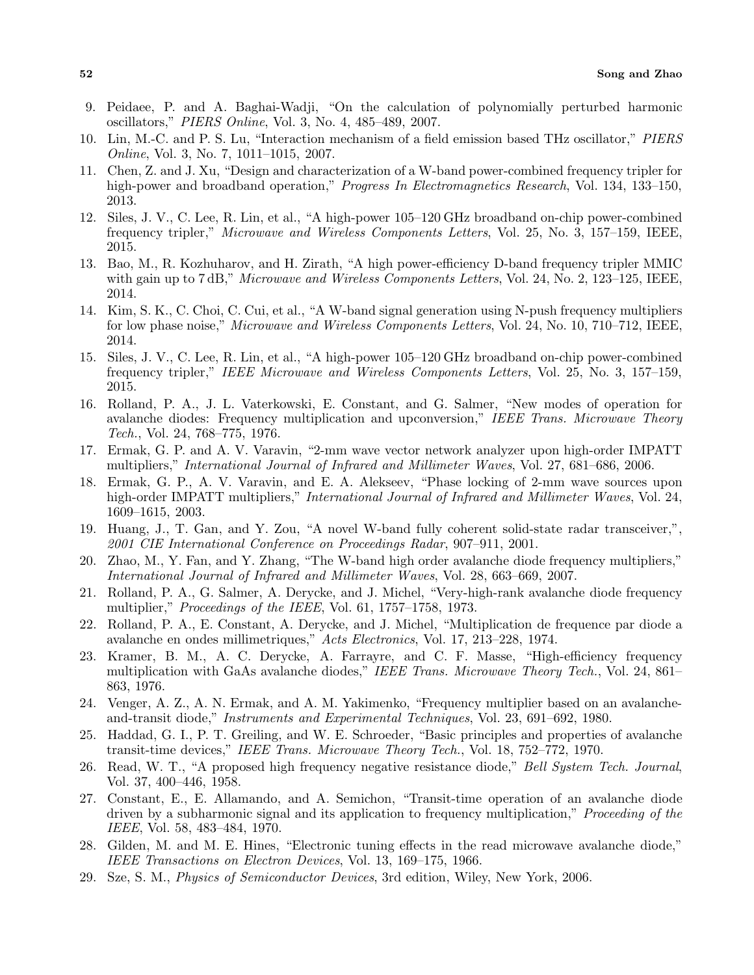- 9. Peidaee, P. and A. Baghai-Wadji, "On the calculation of polynomially perturbed harmonic oscillators," *PIERS Online*, Vol. 3, No. 4, 485–489, 2007.
- 10. Lin, M.-C. and P. S. Lu, "Interaction mechanism of a field emission based THz oscillator," *PIERS Online*, Vol. 3, No. 7, 1011–1015, 2007.
- 11. Chen, Z. and J. Xu, "Design and characterization of a W-band power-combined frequency tripler for high-power and broadband operation," *Progress In Electromagnetics Research*, Vol. 134, 133–150, 2013.
- 12. Siles, J. V., C. Lee, R. Lin, et al., "A high-power 105–120 GHz broadband on-chip power-combined frequency tripler," *Microwave and Wireless Components Letters*, Vol. 25, No. 3, 157–159, IEEE, 2015.
- 13. Bao, M., R. Kozhuharov, and H. Zirath, "A high power-efficiency D-band frequency tripler MMIC with gain up to 7 dB," *Microwave and Wireless Components Letters*, Vol. 24, No. 2, 123–125, IEEE, 2014.
- 14. Kim, S. K., C. Choi, C. Cui, et al., "A W-band signal generation using N-push frequency multipliers for low phase noise," *Microwave and Wireless Components Letters*, Vol. 24, No. 10, 710–712, IEEE, 2014.
- 15. Siles, J. V., C. Lee, R. Lin, et al., "A high-power 105–120 GHz broadband on-chip power-combined frequency tripler," *IEEE Microwave and Wireless Components Letters*, Vol. 25, No. 3, 157–159, 2015.
- 16. Rolland, P. A., J. L. Vaterkowski, E. Constant, and G. Salmer, "New modes of operation for avalanche diodes: Frequency multiplication and upconversion," *IEEE Trans. Microwave Theory Tech.*, Vol. 24, 768–775, 1976.
- 17. Ermak, G. P. and A. V. Varavin, "2-mm wave vector network analyzer upon high-order IMPATT multipliers," *International Journal of Infrared and Millimeter Waves*, Vol. 27, 681–686, 2006.
- 18. Ermak, G. P., A. V. Varavin, and E. A. Alekseev, "Phase locking of 2-mm wave sources upon high-order IMPATT multipliers," *International Journal of Infrared and Millimeter Waves*, Vol. 24, 1609–1615, 2003.
- 19. Huang, J., T. Gan, and Y. Zou, "A novel W-band fully coherent solid-state radar transceiver,", *2001 CIE International Conference on Proceedings Radar*, 907–911, 2001.
- 20. Zhao, M., Y. Fan, and Y. Zhang, "The W-band high order avalanche diode frequency multipliers," *International Journal of Infrared and Millimeter Waves*, Vol. 28, 663–669, 2007.
- 21. Rolland, P. A., G. Salmer, A. Derycke, and J. Michel, "Very-high-rank avalanche diode frequency multiplier," *Proceedings of the IEEE*, Vol. 61, 1757–1758, 1973.
- 22. Rolland, P. A., E. Constant, A. Derycke, and J. Michel, "Multiplication de frequence par diode a avalanche en ondes millimetriques," *Acts Electronics*, Vol. 17, 213–228, 1974.
- 23. Kramer, B. M., A. C. Derycke, A. Farrayre, and C. F. Masse, "High-efficiency frequency multiplication with GaAs avalanche diodes," *IEEE Trans. Microwave Theory Tech.*, Vol. 24, 861– 863, 1976.
- 24. Venger, A. Z., A. N. Ermak, and A. M. Yakimenko, "Frequency multiplier based on an avalancheand-transit diode," *Instruments and Experimental Techniques*, Vol. 23, 691–692, 1980.
- 25. Haddad, G. I., P. T. Greiling, and W. E. Schroeder, "Basic principles and properties of avalanche transit-time devices," *IEEE Trans. Microwave Theory Tech.*, Vol. 18, 752–772, 1970.
- 26. Read, W. T., "A proposed high frequency negative resistance diode," *Bell System Tech. Journal*, Vol. 37, 400–446, 1958.
- 27. Constant, E., E. Allamando, and A. Semichon, "Transit-time operation of an avalanche diode driven by a subharmonic signal and its application to frequency multiplication," *Proceeding of the IEEE*, Vol. 58, 483–484, 1970.
- 28. Gilden, M. and M. E. Hines, "Electronic tuning effects in the read microwave avalanche diode," *IEEE Transactions on Electron Devices*, Vol. 13, 169–175, 1966.
- 29. Sze, S. M., *Physics of Semiconductor Devices*, 3rd edition, Wiley, New York, 2006.